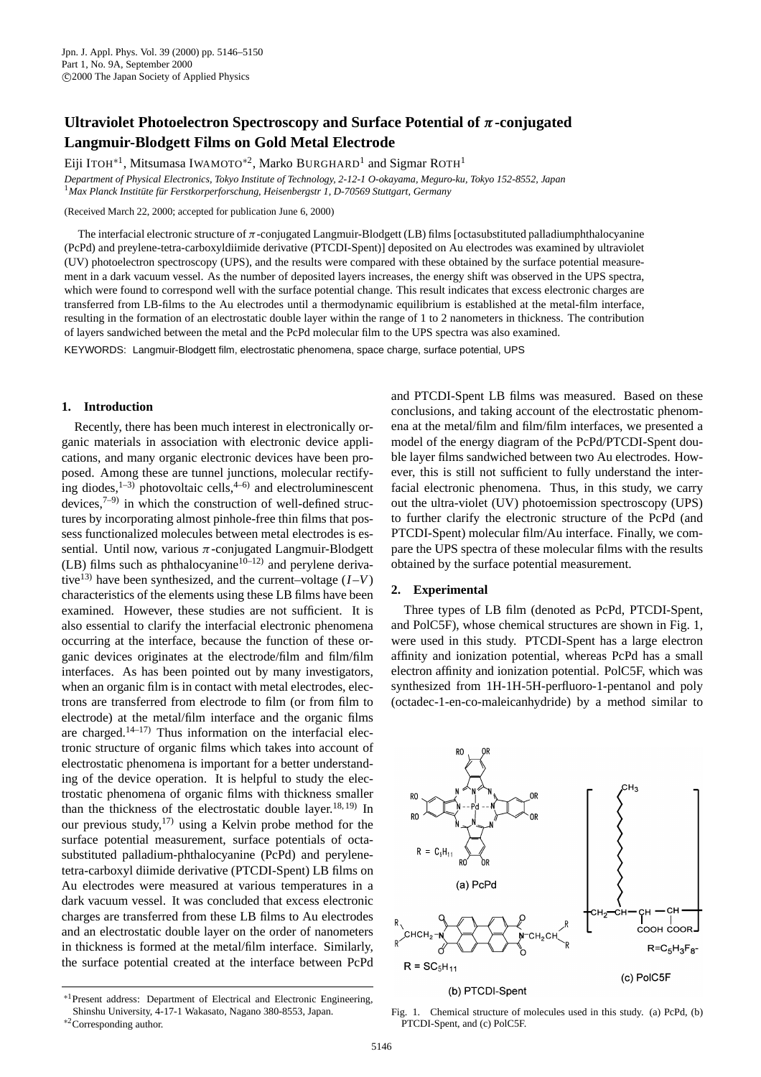# **Ultraviolet Photoelectron Spectroscopy and Surface Potential of** *π***-conjugated Langmuir-Blodgett Films on Gold Metal Electrode**

Eiji ITOH<sup>∗1</sup>, Mitsumasa IWAMOTO<sup>\*2</sup>, Marko BURGHARD<sup>1</sup> and Sigmar ROTH<sup>1</sup>

*Department of Physical Electronics, Tokyo Institute of Technology, 2-12-1 O-okayama, Meguro-ku, Tokyo 152-8552, Japan* <sup>1</sup>*Max Planck Institüte für Ferstkorperforschung, Heisenbergstr 1, D-70569 Stuttgart, Germany*

(Received March 22, 2000; accepted for publication June 6, 2000)

The interfacial electronic structure of  $\pi$ -conjugated Langmuir-Blodgett (LB) films [octasubstituted palladiumphthalocyanine (PcPd) and preylene-tetra-carboxyldiimide derivative (PTCDI-Spent)] deposited on Au electrodes was examined by ultraviolet (UV) photoelectron spectroscopy (UPS), and the results were compared with these obtained by the surface potential measurement in a dark vacuum vessel. As the number of deposited layers increases, the energy shift was observed in the UPS spectra, which were found to correspond well with the surface potential change. This result indicates that excess electronic charges are transferred from LB-films to the Au electrodes until a thermodynamic equilibrium is established at the metal-film interface, resulting in the formation of an electrostatic double layer within the range of 1 to 2 nanometers in thickness. The contribution of layers sandwiched between the metal and the PcPd molecular film to the UPS spectra was also examined.

KEYWORDS: Langmuir-Blodgett film, electrostatic phenomena, space charge, surface potential, UPS

## **1. Introduction**

Recently, there has been much interest in electronically organic materials in association with electronic device applications, and many organic electronic devices have been proposed. Among these are tunnel junctions, molecular rectifying diodes, $1-3$ ) photovoltaic cells, $4-6$ ) and electroluminescent devices, $7-9$  in which the construction of well-defined structures by incorporating almost pinhole-free thin films that possess functionalized molecules between metal electrodes is essential. Until now, various  $\pi$ -conjugated Langmuir-Blodgett (LB) films such as phthalocyanine<sup>10–12)</sup> and perylene derivative<sup>13)</sup> have been synthesized, and the current–voltage  $(I-V)$ characteristics of the elements using these LB films have been examined. However, these studies are not sufficient. It is also essential to clarify the interfacial electronic phenomena occurring at the interface, because the function of these organic devices originates at the electrode/film and film/film interfaces. As has been pointed out by many investigators, when an organic film is in contact with metal electrodes, electrons are transferred from electrode to film (or from film to electrode) at the metal/film interface and the organic films are charged.<sup>14–17)</sup> Thus information on the interfacial electronic structure of organic films which takes into account of electrostatic phenomena is important for a better understanding of the device operation. It is helpful to study the electrostatic phenomena of organic films with thickness smaller than the thickness of the electrostatic double layer.<sup>18, 19)</sup> In our previous study,<sup>17)</sup> using a Kelvin probe method for the surface potential measurement, surface potentials of octasubstituted palladium-phthalocyanine (PcPd) and perylenetetra-carboxyl diimide derivative (PTCDI-Spent) LB films on Au electrodes were measured at various temperatures in a dark vacuum vessel. It was concluded that excess electronic charges are transferred from these LB films to Au electrodes and an electrostatic double layer on the order of nanometers in thickness is formed at the metal/film interface. Similarly, the surface potential created at the interface between PcPd

<sup>∗</sup>1Present address: Department of Electrical and Electronic Engineering, Shinshu University, 4-17-1 Wakasato, Nagano 380-8553, Japan. <sup>∗</sup>2Corresponding author.

and PTCDI-Spent LB films was measured. Based on these conclusions, and taking account of the electrostatic phenomena at the metal/film and film/film interfaces, we presented a model of the energy diagram of the PcPd/PTCDI-Spent double layer films sandwiched between two Au electrodes. However, this is still not sufficient to fully understand the interfacial electronic phenomena. Thus, in this study, we carry out the ultra-violet (UV) photoemission spectroscopy (UPS) to further clarify the electronic structure of the PcPd (and PTCDI-Spent) molecular film/Au interface. Finally, we compare the UPS spectra of these molecular films with the results obtained by the surface potential measurement.

### **2. Experimental**

Three types of LB film (denoted as PcPd, PTCDI-Spent, and PolC5F), whose chemical structures are shown in Fig. 1, were used in this study. PTCDI-Spent has a large electron affinity and ionization potential, whereas PcPd has a small electron affinity and ionization potential. PolC5F, which was synthesized from 1H-1H-5H-perfluoro-1-pentanol and poly (octadec-1-en-co-maleicanhydride) by a method similar to



Fig. 1. Chemical structure of molecules used in this study. (a) PcPd, (b) PTCDI-Spent, and (c) PolC5F.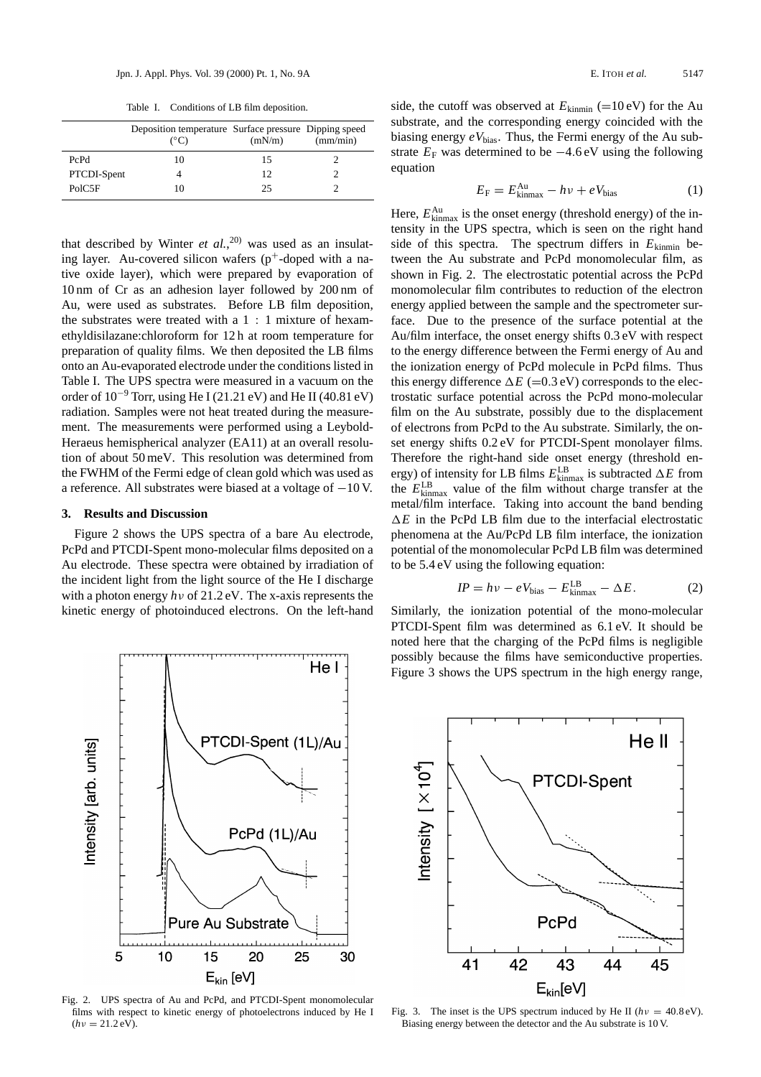Table I. Conditions of LB film deposition.

|             | Deposition temperature Surface pressure Dipping speed<br>(°C) | (mN/m) | (mm/min) |
|-------------|---------------------------------------------------------------|--------|----------|
| PcPd        | 10                                                            | 15     |          |
| PTCDI-Spent |                                                               | 12.    |          |
| PolC5F      | 10                                                            | 25.    |          |

10 nm of Cr as an adhesion layer followed by 200 nm of Au, were used as substrates. Before LB film deposition, the substrates were treated with a 1 : 1 mixture of hexamethyldisilazane:chloroform for 12 h at room temperature for preparation of quality films. We then deposited the LB films onto an Au-evaporated electrode under the conditions listed in Table I. The UPS spectra were measured in a vacuum on the order of  $10^{-9}$  Torr, using He I (21.21 eV) and He II (40.81 eV) radiation. Samples were not heat treated during the measurement. The measurements were performed using a Leybold-Heraeus hemispherical analyzer (EA11) at an overall resolution of about 50 meV. This resolution was determined from the FWHM of the Fermi edge of clean gold which was used as a reference. All substrates were biased at a voltage of −10 V. that described by Winter  $et$   $al$ ,  $20$ <sup>0</sup> was used as an insulating layer. Au-covered silicon wafers  $(p^+$ -doped with a native oxide layer), which were prepared by evaporation of

### **3. Results and Discussion**

Figure 2 shows the UPS spectra of a bare Au electrode, PcPd and PTCDI-Spent mono-molecular films deposited on a Au electrode. These spectra were obtained by irradiation of the incident light from the light source of the He I discharge with a photon energy *h*ν of 21.2 eV. The x-axis represents the kinetic energy of photoinduced electrons. On the left-hand



Fig. 2. UPS spectra of Au and PcPd, and PTCDI-Spent monomolecular films with respect to kinetic energy of photoelectrons induced by He I  $(hv = 21.2 \text{ eV}).$ 

side, the cutoff was observed at  $E_{\text{kinmin}}$  (=10 eV) for the Au substrate, and the corresponding energy coincided with the biasing energy  $eV_{bias}$ . Thus, the Fermi energy of the Au substrate  $E_F$  was determined to be  $-4.6$  eV using the following equation

$$
E_{\rm F} = E_{\rm kinnax}^{\rm Au} - h\nu + eV_{\rm bias} \tag{1}
$$

Here,  $E_{\text{kinmax}}^{\text{Au}}$  is the onset energy (threshold energy) of the intensity in the UPS spectra, which is seen on the right hand side of this spectra. The spectrum differs in  $E_{\text{kinmin}}$  between the Au substrate and PcPd monomolecular film, as shown in Fig. 2. The electrostatic potential across the PcPd monomolecular film contributes to reduction of the electron energy applied between the sample and the spectrometer surface. Due to the presence of the surface potential at the Au/film interface, the onset energy shifts 0.3 eV with respect to the energy difference between the Fermi energy of Au and the ionization energy of PcPd molecule in PcPd films. Thus this energy difference  $\Delta E$  (=0.3 eV) corresponds to the electrostatic surface potential across the PcPd mono-molecular film on the Au substrate, possibly due to the displacement of electrons from PcPd to the Au substrate. Similarly, the onset energy shifts 0.2 eV for PTCDI-Spent monolayer films. Therefore the right-hand side onset energy (threshold energy) of intensity for LB films  $E_{\text{kinmax}}^{\text{LB}}$  is subtracted  $\Delta E$  from the *E*LB kinmax value of the film without charge transfer at the metal/film interface. Taking into account the band bending  $\Delta E$  in the PcPd LB film due to the interfacial electrostatic phenomena at the Au/PcPd LB film interface, the ionization potential of the monomolecular PcPd LB film was determined to be 5.4 eV using the following equation:

$$
IP = hv - eV_{bias} - E_{kinmax}^{LB} - \Delta E. \tag{2}
$$

Similarly, the ionization potential of the mono-molecular PTCDI-Spent film was determined as 6.1 eV. It should be noted here that the charging of the PcPd films is negligible possibly because the films have semiconductive properties. Figure 3 shows the UPS spectrum in the high energy range,



Fig. 3. The inset is the UPS spectrum induced by He II ( $hv = 40.8 \text{ eV}$ ). Biasing energy between the detector and the Au substrate is 10 V.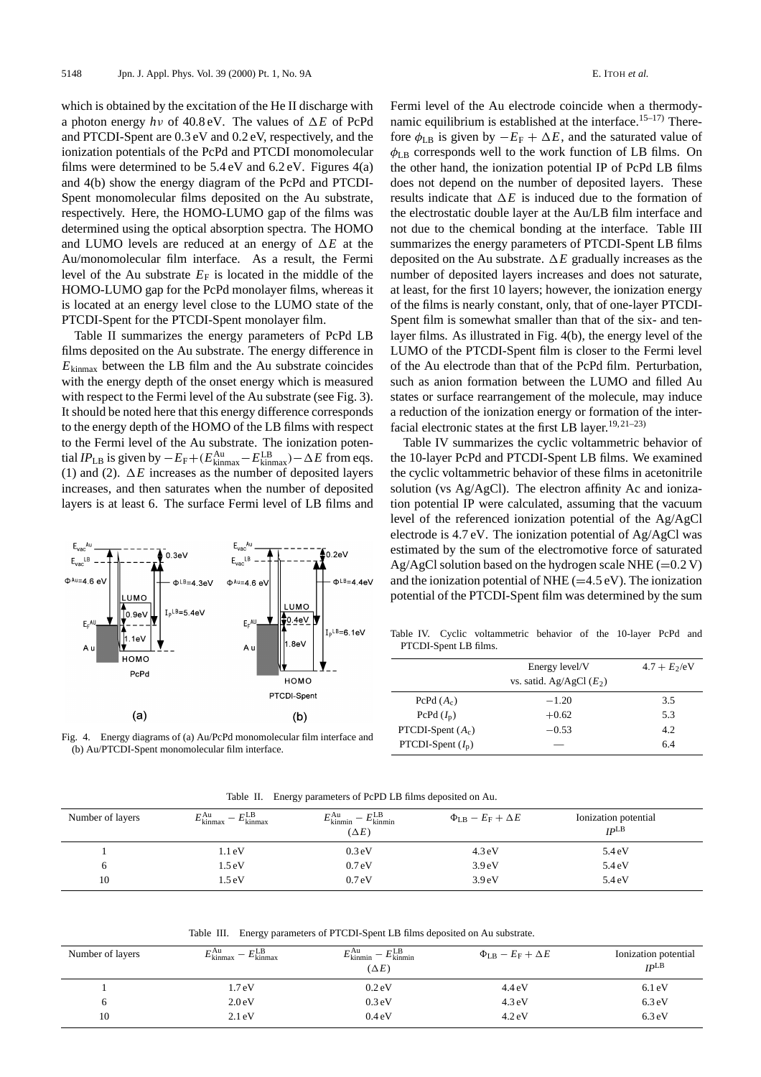a photon energy  $h\nu$  of 40.8 eV. The values of  $\Delta E$  of PcPd and PTCDI-Spent are 0.3 eV and 0.2 eV, respectively, and the ionization potentials of the PcPd and PTCDI monomolecular films were determined to be  $5.4 \text{ eV}$  and  $6.2 \text{ eV}$ . Figures  $4(a)$ and 4(b) show the energy diagram of the PcPd and PTCDI-Spent monomolecular films deposited on the Au substrate, respectively. Here, the HOMO-LUMO gap of the films was determined using the optical absorption spectra. The HOMO and LUMO levels are reduced at an energy of  $\Delta E$  at the Au/monomolecular film interface. As a result, the Fermi level of the Au substrate  $E_F$  is located in the middle of the HOMO-LUMO gap for the PcPd monolayer films, whereas it is located at an energy level close to the LUMO state of the PTCDI-Spent for the PTCDI-Spent monolayer film. which is obtained by the excitation of the He II discharge with

Table II summarizes the energy parameters of PcPd LB films deposited on the Au substrate. The energy difference in  $E_{\text{kinmax}}$  between the LB film and the Au substrate coincides with the energy depth of the onset energy which is measured with respect to the Fermi level of the Au substrate (see Fig. 3). It should be noted here that this energy difference corresponds to the energy depth of the HOMO of the LB films with respect to the Fermi level of the Au substrate. The ionization potential *IP*<sub>LB</sub> is given by  $-E_F+(E_{\text{kinmax}}^{\text{Au}}-E_{\text{kinmax}}^{\text{LB}})-\Delta E$  from eqs. (1) and (2).  $\Delta E$  increases as the number of deposited layers increases, and then saturates when the number of deposited layers is at least 6. The surface Fermi level of LB films and



Fig. 4. Energy diagrams of (a) Au/PcPd monomolecular film interface and (b) Au/PTCDI-Spent monomolecular film interface.

Fermi level of the Au electrode coincide when a thermodynamic equilibrium is established at the interface.<sup>15-17)</sup> Therefore  $\phi_{LB}$  is given by  $-E_F + \Delta E$ , and the saturated value of  $\phi_{LB}$  corresponds well to the work function of LB films. On the other hand, the ionization potential IP of PcPd LB films does not depend on the number of deposited layers. These results indicate that  $\Delta E$  is induced due to the formation of the electrostatic double layer at the Au/LB film interface and not due to the chemical bonding at the interface. Table III summarizes the energy parameters of PTCDI-Spent LB films deposited on the Au substrate.  $\Delta E$  gradually increases as the number of deposited layers increases and does not saturate, at least, for the first 10 layers; however, the ionization energy of the films is nearly constant, only, that of one-layer PTCDI-Spent film is somewhat smaller than that of the six- and tenlayer films. As illustrated in Fig. 4(b), the energy level of the LUMO of the PTCDI-Spent film is closer to the Fermi level of the Au electrode than that of the PcPd film. Perturbation, such as anion formation between the LUMO and filled Au states or surface rearrangement of the molecule, may induce a reduction of the ionization energy or formation of the interfacial electronic states at the first LB layer.<sup>19, 21–23)</sup>

Table IV summarizes the cyclic voltammetric behavior of the 10-layer PcPd and PTCDI-Spent LB films. We examined the cyclic voltammetric behavior of these films in acetonitrile solution (vs Ag/AgCl). The electron affinity Ac and ionization potential IP were calculated, assuming that the vacuum level of the referenced ionization potential of the Ag/AgCl electrode is 4.7 eV. The ionization potential of Ag/AgCl was estimated by the sum of the electromotive force of saturated Ag/AgCl solution based on the hydrogen scale NHE  $(=0.2 V)$ and the ionization potential of NHE  $(=4.5 \text{ eV})$ . The ionization potential of the PTCDI-Spent film was determined by the sum

Table IV. Cyclic voltammetric behavior of the 10-layer PcPd and PTCDI-Spent LB films.

|                     | Energy level/V             | $4.7 + E_2/eV$ |
|---------------------|----------------------------|----------------|
|                     | vs. satid. Ag/AgCl $(E_2)$ |                |
| PcPd $(A_c)$        | $-1.20$                    | 3.5            |
| PcPd $(I_p)$        | $+0.62$                    | 5.3            |
| PTCDI-Spent $(A_c)$ | $-0.53$                    | 4.2            |
| PTCDI-Spent $(I_p)$ |                            | 6.4            |

|                  |                                                                  | ----                                                                                                             |                                              |                                          |
|------------------|------------------------------------------------------------------|------------------------------------------------------------------------------------------------------------------|----------------------------------------------|------------------------------------------|
| Number of layers | $E$ LB<br>$E_{\text{kinmax}}^{\text{Au}}$<br>$E_{\text{kinmax}}$ | $F^{\text{LB}}$<br>ΓAu<br>$\overline{\phantom{0}}$<br>$E_{\text{kinmin}}$<br>$E_{\text{kinmin}}$<br>$(\Delta E)$ | $\Phi_{\text{LB}} - E_{\text{F}} + \Delta E$ | Ionization potential<br>IP <sub>LB</sub> |
|                  | 1.1 eV                                                           | 0.3 <sub>eV</sub>                                                                                                | $4.3 \text{ eV}$                             | 5.4 eV                                   |
|                  | 1.5 eV                                                           | 0.7 <sub>eV</sub>                                                                                                | 3.9 <sub>eV</sub>                            | 5.4 eV                                   |

Table II. Energy parameters of PcPD LB films deposited on Au.

Table III. Energy parameters of PTCDI-Spent LB films deposited on Au substrate.

10 1.5 eV 0.7 eV 3.9 eV 5.4 eV

| Number of layers | $-E_{\rm kinnax}^{\rm LB}$<br>$E_{\text{kinmax}}^{\text{Au}}$ | $E_{\text{kinmin}}^{\text{Au}} - E_{\text{kinmin}}^{\text{LB}}$<br>$(\Delta E)$ | $\Phi_{\text{LB}} - E_{\text{F}} + \Delta E$ | Ionization potential<br>IP <sup>LB</sup> |
|------------------|---------------------------------------------------------------|---------------------------------------------------------------------------------|----------------------------------------------|------------------------------------------|
|                  | 1.7 <sub>eV</sub>                                             | 0.2 <sub>e</sub> V                                                              | $4.4 \text{ eV}$                             | $6.1 \text{ eV}$                         |
|                  | 2.0 <sub>eV</sub>                                             | 0.3 eV                                                                          | $4.3 \text{ eV}$                             | $6.3 \text{ eV}$                         |
| 10               | $2.1 \text{eV}$                                               | 0.4 <sub>eV</sub>                                                               | $4.2 \text{ eV}$                             | $6.3 \text{ eV}$                         |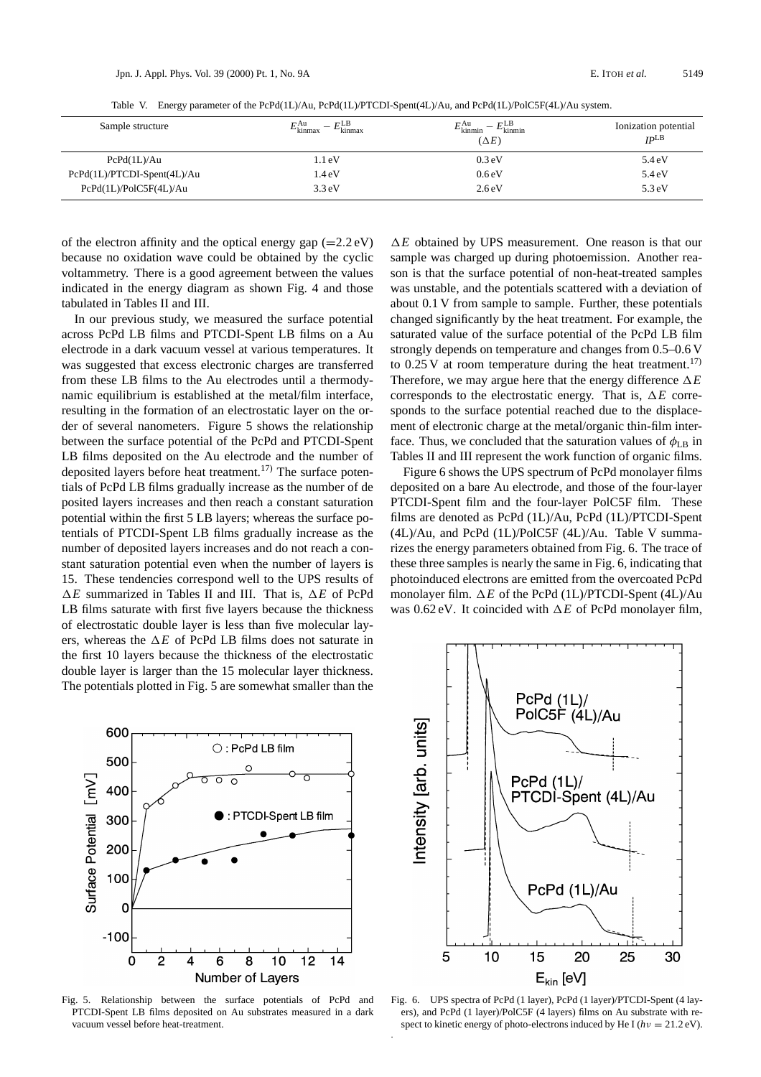Table V. Energy parameter of the PcPd(1L)/Au, PcPd(1L)/PTCDI-Spent(4L)/Au, and PcPd(1L)/PolC5F(4L)/Au system.

| Sample structure            | $E$ LB<br>$E_{\text{kinmax}}^{\text{Au}}$<br>$E_{\text{kinmax}}$ | $E_{\text{kinmin}}^{\text{LB}}$<br>$E_{\text{kinmin}}^{\text{Au}}$<br>$(\Delta E)$ | Ionization potential<br>IP <sub>LB</sub> |
|-----------------------------|------------------------------------------------------------------|------------------------------------------------------------------------------------|------------------------------------------|
| PcPd(1L)/Au                 | 1.1 eV                                                           | 0.3 <sub>eV</sub>                                                                  | 5.4eV                                    |
| PcPd(1L)/PTCDI-Spent(4L)/Au | 1.4 <sub>eV</sub>                                                | 0.6eV                                                                              | 5.4eV                                    |
| PcPd(1L)/PolC5F(4L)/Au      | $3.3 \text{ eV}$                                                 | 2.6eV                                                                              | $5.3 \text{ eV}$                         |

indicated in the energy diagram as shown Fig. 4 and those tabulated in Tables II and III. of the electron affinity and the optical energy gap  $(=2.2 \text{ eV})$ because no oxidation wave could be obtained by the cyclic voltammetry. There is a good agreement between the values

In our previous study, we measured the surface potential across PcPd LB films and PTCDI-Spent LB films on a Au electrode in a dark vacuum vessel at various temperatures. It was suggested that excess electronic charges are transferred from these LB films to the Au electrodes until a thermodynamic equilibrium is established at the metal/film interface, resulting in the formation of an electrostatic layer on the order of several nanometers. Figure 5 shows the relationship between the surface potential of the PcPd and PTCDI-Spent LB films deposited on the Au electrode and the number of deposited layers before heat treatment.<sup>17)</sup> The surface potentials of PcPd LB films gradually increase as the number of de posited layers increases and then reach a constant saturation potential within the first 5 LB layers; whereas the surface potentials of PTCDI-Spent LB films gradually increase as the number of deposited layers increases and do not reach a constant saturation potential even when the number of layers is 15. These tendencies correspond well to the UPS results of  $\Delta E$  summarized in Tables II and III. That is,  $\Delta E$  of PcPd LB films saturate with first five layers because the thickness of electrostatic double layer is less than five molecular layers, whereas the  $\Delta E$  of PcPd LB films does not saturate in the first 10 layers because the thickness of the electrostatic double layer is larger than the 15 molecular layer thickness. The potentials plotted in Fig. 5 are somewhat smaller than the



Fig. 5. Relationship between the surface potentials of PcPd and PTCDI-Spent LB films deposited on Au substrates measured in a dark vacuum vessel before heat-treatment.

 $\Delta E$  obtained by UPS measurement. One reason is that our sample was charged up during photoemission. Another reason is that the surface potential of non-heat-treated samples was unstable, and the potentials scattered with a deviation of about 0.1 V from sample to sample. Further, these potentials changed significantly by the heat treatment. For example, the saturated value of the surface potential of the PcPd LB film strongly depends on temperature and changes from 0.5–0.6 V to  $0.25$  V at room temperature during the heat treatment.<sup>17)</sup> Therefore, we may argue here that the energy difference  $\Delta E$ corresponds to the electrostatic energy. That is,  $\Delta E$  corresponds to the surface potential reached due to the displacement of electronic charge at the metal/organic thin-film interface. Thus, we concluded that the saturation values of  $\phi_{LB}$  in Tables II and III represent the work function of organic films.

Figure 6 shows the UPS spectrum of PcPd monolayer films deposited on a bare Au electrode, and those of the four-layer PTCDI-Spent film and the four-layer PolC5F film. These films are denoted as PcPd (1L)/Au, PcPd (1L)/PTCDI-Spent (4L)/Au, and PcPd (1L)/PolC5F (4L)/Au. Table V summarizes the energy parameters obtained from Fig. 6. The trace of these three samples is nearly the same in Fig. 6, indicating that photoinduced electrons are emitted from the overcoated PcPd monolayer film. Δ*E* of the PcPd (1L)/PTCDI-Spent (4L)/Au was  $0.62$  eV. It coincided with  $\Delta E$  of PcPd monolayer film,



Fig. 6. UPS spectra of PcPd (1 layer), PcPd (1 layer)/PTCDI-Spent (4 layers), and PcPd (1 layer)/PolC5F (4 layers) films on Au substrate with respect to kinetic energy of photo-electrons induced by He I ( $hv = 21.2 \text{ eV}$ ).

.